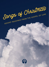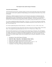#### **The Gospel of Luke and the Songs of Christmas**

#### **Advent Devotional Readings**

Advent (from the Latin *Adventus*, meaning coming or arrival) is part of the larger season in the Christian year, an aspect of the church's gathered worship leading up to the celebration of the birth of Jesus Christ at Christmas.

Although not a biblical mandate for the church, Advent has been and remains an important aspect for many churches for most of Christian history. In fact, according to the Christian year, Advent marks the beginning for the people of God in their annual calendar, not January 1. Our lives are not only lived between Christ's first and second comings, they are also marked, formed and shaped by His two comings.

It is a time to remember the birth of Christ (Matt. 1:18-25; Lk. 1:5-2:20; Gal. 4:4), the time at which the promises for the Messiah in the Old Testament were fulfilled in the person of Jesus Christ (cf. Gen. 3:15; Isa. 7:14; 9:2-6; Mic. 5:2).

It is a time to ponder the person of Jesus Christ (Jn. 1:1-18; Phil. 2:5-11; Col. 1:15-20; 1 Tim. 3:16).

It is a time to look ahead to the time when Christ will return in great power and glory (Matt. 24:30; 26:64; Rom. 1:4) to judge the living and the dead (Acts 10:42; 17:31; 2 Tim. 4:8; cf. 1 Thess. 4:15).

This Advent Devotional focuses on The Gospel of Luke and the Songs of Christmas. We will highlight four songs "sung" by four key people surrounding the incarnation of Jesus Christ, the God-man, the truth we celebrate at Christmas, yet experience every day throughout the year. These four songs will be the focus of five devotional readings, along with an introduction and a conclusion, making this a seven-part devotional.

- 1. Introduction: Luke and the Songs of Christmas
- 2. Week One: Mary's Song, Part 1: The *Magnificat* (Luke 1:46-55)
- 3. Week Two: Mary's Song, Part 2: The *Magnificat* (Luke 1:46-55)
- 4. Week Three: Zechariah's Song: *Benedictus* (Luke 1:68-79)
- 5. Week Four: The Angels' Song: *Gloria in Excelsis* (Luke 2:1-20, cf. v. 14)
- 6. Christmas Day: Simeon's Song: *Nunc Dimittis* (Luke 2:29-32)
- 7. Conclusion: A New Song: The Song of Eternity (Revelation 5)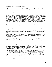#### **Introduction: Luke and the Songs of Christmas**

In this Advent Devotional, we focus on the Songs of Christmas as revealed by God and recorded by Luke in the first two chapters of his Gospel. In order to understand the context of these songs, it is important to set Luke's writing in its broader context, so that we can not only understand what Luke *meant*, but also what Luke's writing *means* for us today.

The biblical text must first be understood in its original context, because a text will not mean what it never meant. Additionally, once a text's original meaning is grasped, then it must also be asked what that text means for the people of God today in its application. A text merely understood without being applied comes short of God's intent for his written Word. Additionally, seeking to apply a text without understanding what the text meant will result in both misunderstanding and misapplication. Illustrations abound of both errors. The Word of God certainly is God's redemptive-historical unfolding of his providential plan, which means it is information (what it *meant*), but the Lord also gives it for the intent of knowing and loving him and others, what means one of is purposes is for transformation (what it *means*).

This is especially important to remember as we live in these days prior to Christmas. Many of us engage in this season, and the reading of this Advent Devotional, following the familiar Christmas story. The story has become familiar, but familiarity does not necessarily equate with faithful. We are often more influenced by legend, myth, movies and carols than we are by the real Christmas story. It is important for us to go back to the biblical text, God's written revelation of the historical account of the birth of the Lord Jesus Christ, the God-man. There are many ways to do that, and in this year's devotional we will do that through Luke's Gospel, specifically through God's revealed truth uttered by four individuals through song.

Before we look at the songs in subsequent weeks, it is important to step back to consider Luke's broader themes so that we rightly understand the way these infancy stories fit into Luke's larger whole, and what all of this says about Jesus.

Luke writes of the "things that have been accomplished among us," or "those matters that have been fulfilled" (1:1). Jesus did not come into a historical vacuum. He came into a historical context as part of a larger story planned from eternity past which was "the fullness of time" (Gal. 4:4). Jesus' coming was in fulfillment of God's promises. The Old Testament consists of Jesus concealed, while the New Testament is Jesus Christ revealed; the Old Testament is the promise of Jesus, the New Testament is the fulfillment in Jesus. In fact, all the Scriptures are about Jesus (24:25-27), and he fulfilled the whole Old Testament (24:44-47). Luke emphasizes this truth through the four songs sung by four key persons – Mary, Zechariah, the Angels, and Simeon – in Luke 1 and 2, captured best by Mary: "He has helped his servant Israel, remembering to be merciful to Abraham and his descendants forever, just as he promised our ancestors." (Lk. 1:54-55; cf. Matt. 1:22-23; 2:5-6, 15, 17-18, 23).

These truths were "delivered" or "handed down" from those who "were eyewitnesses" (1:2; cf. 1 Cor. 11:23; 15:3). These eyewitnesses, those who had been transformed by the person and work of Jesus Christ, were "ministers [servants] of the word" (1:2). These transformed eyewitnesses proclaimed the gospel, the very gospel by which they had been transformed and been made eyewitnesses. These servants of the word, seeking to be faithful to the truth of the story handed down through others, "followed all things closely," or "carefully investigated everything" in order to give "an orderly account" (1:3) of the story of Jesus to Theophilus. The reason is so "that you may have certainty [you may know the certainty] concerning the things you have been taught" (1:4).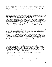What are some of those things they have been taught, those truths Luke highlights and emphasizes in his "orderly account"? First, Luke's primary purpose in writing this Gospel is to confirm and strengthen the faith of the early Christians and to strengthen them as they live their lives as the people of God who worship the Lord Jesus Christ. This is vitally important for us today. There is significance in both the *meant* and *means* of this text of Scripture.

Second, for Luke, and all the New Testament writers, the faith once for all entrusted to the saints (Jude 3) focuses on the person and work of Jesus Christ. For Luke, his Gospel centers on Jesus and finds its unity in him. In other words, Luke's Gospel is made "an orderly account" by finding its unity in Jesus, from the initial announcement in the infancy narrative and the songs surrounding the birth of Jesus (chapters 1 and 2), to his ascension into heaven (chapter 24), he is the center of it all.

Third, added to this unifying center in Jesus, Luke was also clear in Jesus' coming and mission, which were to seek and to save the lost (19:10). This is evident throughout Luke's Gospel, which he emphasizes in the birth narrative in the first two chapters. Grounded in the history of Israel, Jesus is referred to as the "Christ," the "Messiah" which places Jesus in the royal Davidic line. This is clearly articulated in the birth narrative (1:32-33, 68-7, 2:8-14). Being in the Davidic line, he will also usher in salvation, also noted in the birth narrative (1:69, 71, 77; 2:30). But Jesus's ministry is not limited to the Jews in that although he is the Savior who comes *from* the Jews, he is the Savior *for* the world (cf. Jn. 4:42; 1 Jn. 4:14), including outcasts and Gentiles (2:32), a truth stated by Simeon.

Fourth, the ministry of Jesus, the second person of the Godhead, is surrounded by the ministry of the Holy Spirit, the third person of the Godhead. The Holy Spirit's heightened ministry focusing on Jesus reflects the work of the Trinitarian God in the economy of salvation, and reflects the inauguration of the new eschatological age ushered in by Jesus (1:15, 35, 67; 2:25-27).

Finally, the birth narrative is bookended by Luke's focus on the temple. The birth of John the Baptist to Zechariah and Elizabeth begin in the temple (1:8ff). This section concludes with Jesus and his family in Jerusalem for the Feast of the Passover. At the conclusion of the Feast, Jesus' parents departed without him. Upon returning to Jerusalem to look for him, they found him "in the temple" (2:46). All for which the temple stood, revealed and represented, Jesus fulfilled (cf. Jn. 2:19-22).

Over the next four weeks we will study, mediate and ponder these Lucan songs. The first we will look at is Mary's Song, otherwise known as the *Magnificat* (Luke 1:46-55). Next we will hear the song of Zechariah, John the Baptist's father, also known as the *Benedictus*. As you will recall, Zechariah was stricken mute because he did not believe the angel Gabriel who said that he and his wife, Elizabeth, would have a son. After John's birth, Zechariah's tongue was loosed and he immediately praised God (Luke 1:68-79). Then we will celebrate with the angels as they sang to the shepherds, "Glory to God in the highest, and on earth peace to men on whom his favor rests" (Luke 2:14), the *Gloria in Excelsis*. After this we will worship with Simeon as he sings of salvation, the appearance of Christ (Luke 2:29-32), known as the *Nunc Dimittis*. We will conclude the series in the New Year when we sing "A New Song: The Song of Eternity" from Revelation 5 (cf. Psalms 96, 98).

To participate in this Advent Devotional, here are a few recommendations for get the most out of your study and mediation.

- 1. Read Luke 1-2 in a single sitting.
- 2. Read these chapters a number of times, possibly even from different translations.
- 3. Take note of each of the songs, the persons who sing them, the part they play in this birth narrative and the truths/themes they reveal.
- 4. Place these chapters within the larger themes espoused by Luke in his Gospel.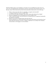With these biblical songs as your foundation, I encourage you in one additional way this season. For many of us, the traditional hymns and Christmas carols are a special part of the Christmas season. Over the years, many of these hymns and carols have been memorized, at least the first verse of the song.

- 1. What is it about music that makes it so appealing, so magnetic and memorable?
- 2. Is singing an enjoyment to you or a burden? Why?
- 3. As you look at the songs of Scripture, what is their content, about what are they singing?
- 4. Why does singing play such an instrumental role in our worship of God?
- 5. What is it about the hymns, carols and choruses of Christmas that are so important, theologically, and significant, spiritually?
- 6. What are your favorite Christmas hymns and carols and why?
- 7. Why do Christians love, cherish and memorize those hymns and choruses most focused on Jesus' birth, death and resurrection, and why is singing so important in our worship of the Trinitarian God such that we will engage in it on into eternity?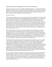## **Week One: Mary's Song: The** *Magnificat* **(Luke 1:46-55; cf. 1:26-45, 56), Part 1**

At this time of the year, we focus on the conception and birth of a firstborn – two of them: Zechariah and Elizabeth's boy, John, later known as the Baptist, and Joseph and Mary's son, Jesus, the Son of the Most High, the Son of God. In today's devotional, we study and ponder the miraculous conception of Jesus and Mary's response in song to this wonderful act of God's grace. Our devotional will be in two parts: The Historical Context and The Theological and Doxological Response.

#### *The Historical Context*

Luke informs the reader this occurred "in the sixth month" when "the angel Gabriel was sent from God to a city of Galilee, named Nazareth, to a virgin betrothed [pledged to be married] to a man whose name was Joseph, of the house of David" (1:26-27). Gabriel brings a message from God to Mary. Not only was Mary a virgin who was engaged, she also, importantly, had found favor with God (emphasis mine): "Greetings, O *favored one*, the Lord is with you" (1:28); "you have found *favor* with God" 1:30). It was because the Lord was with her that she was favored. God's favor is not something earned or deserved. It is grounded in his grace and mercy. Mary manifests this truth. In the midst of being troubled by this visit from Gabriel (1:29; cf. 1:12), he comforts her with the words "do not be afraid" (1:30; cf. 1:13). Those with whom God dwells, need not fear. Through God's presence and favor, it was revealed to Mary she would "conceive in your womb and bear a son, and you shall call his name Jesus" and importantly, "you shall call his name Jesus" (1:31).

Mary is informed that Jesus "will be great and will be called the Son of the Most High. The Lord God will give him the throne of his father David, and he will reign over Jacob's descendants forever; his kingdom will never end" (1:32). In other words, Jesus is the promised Messiah. He is the fulfillment of the prophecies given years before by the prophets, words contained in the Old Testament. Jesus would be the fulfillment of all their hopes and dreams. More importantly, Jesus is the fulfillment God's promises to David of having a king on the throne, a kingdom and kingship that will never end (1:32b-33). God's promise *had not* failed. God's promises *will not* fail. The promised one is great and is called Jesus (1:31), Son of the Most High, (1:32), Holy (1:35), Son of God (1:35) and King (1:33).

Though Mary faced an impossible situation, humanly speaking, "how will this be, since I am a virgin?" (1:34), God was the guarantor of his promise, "for nothing will be impossible with God" (1:37). God's work would be accomplished by the Holy Spirit (1:15, 35, 41). In fact, God had already performed another impossible conception six months earlier in the lives of Mary's relatives, Elizabeth and Zechariah, who were old and barren (1:7, 18, 36). Mary heard clearly what Gabriel had said about bearing a son, but she also realized the impossibility of this occurring. If Elizabeth's problem was old age, Mary's was that she was a virgin. But to highlight the human impossibility of fulfilling God's promise and to emphasize God's grace, he fulfills his promise through the miraculous conception of Jesus in Mary's womb. (This is not the *immaculate conception*, which claims Mary was born without sin and remained sinless through her life, and it was for this reason she was prepared to become the mother of Jesus.) How could this happen? Because nothing will be impossible with God (1:37)!

Do you remember when God gave the promise to Abram and Sarai (later to become Abraham and Sarah) that they would have a child who would be blessed and bring a blessing and all the nations would be blessed through him (Gen. 12:1-3; cf. Gen. 17:15-19; 18:9-15; 21:1-7)? They, too, faced an impossible situation – old age. Yet with Sarah at 89 and Abraham at 99, an angel appeared and told them they would conceive and bear a son at the ages of 90 and 100. They, too, doubted, but the angel said, "Nothing is impossible with God" (Gen. 18:14), the same words spoken to Mary. Isaac was the child of the *promise*. Jesus is the child of the *Promise*.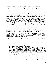Mary is a model of humble submission to be used for God's honor and glory in the extension of his kingdom, and in the fulfillment of his plan. After hearing this news Mary replies, "I am the servant of the Lord; let it be to me according to your word"  $(1:38)$ . We often look at this through sentimental eyes, but what Mary learned about this miraculous conception, a divine conception, would raise questions about her chastity. This would bring pain, rejection, being ostracized, and shunned. She would be accused of infidelity. During Jesus' ministry, the Pharisees would recount Jesus' birth and claim this very origin of him. They clearly identified Abraham as their father, over against Jesus, who had been "born of sexual immorality" (Jn. 8:41). It is difficult to know how much of this Mary would have understood at the moment, but, based on Jesus' engagement with the Pharisees, we know she experienced it. Her response reveals her humility, which reflects/manifests one who has experienced God's favor, his grace.

Mary and Elizabeth both experienced God's gracious providential plan in their miraculous conceptions. Upon Mary's news of her miraculous conception, she visits Elizabeth, her relative, who is in her sixth month of pregnancy (1:36), in "the hill country, to a town of Judah" (1:39). When Mary greets Elizabeth, "the baby leaped in her womb" (1:41). This is an initial fulfillment of the promise given to Zechariah about their baby boy, John, who would "be filled with the Holy Spirit, even from his mother's womb" (1:15). Additionally, Elizabeth "was filled with the Holy Spirit" (1:41). Furthermore, Mary's experience was that "the Holy Spirit will come upon you" (1:35). God the Holy Spirit brought this about. Elizabeth pronounces a blessing on Mary. This blessing is, first and foremost, because of "the fruit of your womb" (1:42): Mary is pregnant with Jesus. The second blessing is pronounced because Mary "believed that there would be a fulfillment of what was spoken to her from the Lord" (1:45). In other words, she believed God would fulfill the promises he spoke to her (1:45), and she humbly trusted the promises of God, evident in her response of "let it be to me according to your word" (1:38). This is sharply contrasted with Zechariah who "did not believe my words, which will be fulfilled in their time" (1:20).

One final and important truth to notice. When John encounters Jesus *in utero* through the voice of Mary, his mother, he "leaped in her [Elizabeth, his mother's] womb" (1:41). Through this, we learn that Jesus is superior to John. Even in the womb, John begins his ministry of pointing to Jesus (1:16-17), of being the forerunner to Jesus, and he does so by worshipping Jesus.

Mary joins the baby John in worship as she praises God through song: "My soul magnifies [glorifies] the Lord"  $(1:46)$ .

In this first part of Mary's Song, ponder the following questions as you prepare your mind and heart to worship the Lord Jesus Christ this Christmas season:

- 1. When the Lord is with us, there is nothing to fear. What are your fears? On what issues do you need to hear the words from the Lord, "Do not be afraid?"
- 2. When it comes to the promises of God, do you know what they are? Do you doubt they will be fulfilled? Even more so, what of God's promises and purposes do you attempt to do in your own strength? Remember, of God's promises and purposes "nothing will be impossible with God."
- 3. Mary is a model of humble submission. She recognizes she is a servant/slave of the Lord, and she humbly receives the unfolding of God's sovereign and providential plan for her. This is a mark of one who the Lord is with, one on whom his favor rests. Do you have this mark of humility, of God's work, in your life?
- 4. In addition to humility, Mary also manifests a life of belief and trust in God and his promises. God's favor was on Mary, his grace was upon her, which resulted in a life of humility and belief. The presence of the Holy Spirit in a person's life enables one to believe and trust, not only for justification but also for the whole Christian life. Those who have been made righteous by faith live by faith. This is the foundation of blessing. God blesses, to be a blessing, which in turn, is the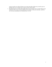means by which one is blessed. What can you learn from Mary? Where do you need to grow in humility? How are you doing when it comes to living a life by faith?

5. The ultimate focus is on Jesus and worship of him. Are you living a life of worship? What are the hindrances? This is how one truly celebrates the incarnation of Jesus, the God-man. And this is not a one-time remembrance on Christmas Day, it is a life.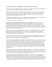## **Week Two: Mary's Song: The** *Magnificat* **(Luke 1:46-55; cf. 1:26-45, 56), Part 2**

Mary's song consists of thanks, for who God is, and praise, worship for what he has done. What God does is personal with Mary, but its implications are absolute and universal.

Mary miraculously bears Jesus, the Christ, the God-man, which means she is *theototkos*, God-bearer. In that sense she plays a unique role in redemptive history. But Mary is also a person like us in need of salvation, God extends his grace to her, that is, she is favored, and in response she models a humble, gracious trust in "God my [and our] Savior" (1:47).

With this historical backdrop and with Mary's humble heart overflowing with praise and thanks to God, she responds in worship (for a comparison, cf. Hannah's song, 1 Sam. 2:1-10).

#### *The Theological and Doxological Response*

**Mary glorifies the Lord and rejoices in God her Savior (1:46b-47).** Mary begins her song with worship: "My soul magnifies the Lord, and my spirit rejoices in God my Savior." "My soul" is that personal praise that comes from deep within a person. It is singing from the heart, the depth of one's being. Mary lifts up the Lord God as she praises his providential work on her behalf (1:38). The reference to "the Lord" addresses God as the sovereign Master and Ruler of the world. This address reveals May's approach to God is that of a humble servant.

Mary repeats her praise as her "spirit rejoices in God my Savior." She praises God for who he is and for what he has done to save in/through Christ, her son. Many have misunderstood Mary. The Roman Catholic Church overestimates her and claim she is more than what she actually is. The RCC fosters a Marian piety that can only be called idolatrous.

This leads to the other side of the problem. Protestants, on the other hand, underestimate Mary, in that she does not, for many, even serve as a model and example of a humble servant, dependent on God for his grace and mercy for her salvation. God is, indeed, her Savior.

Mary is truly like us, though she played a unique role in redemptive history. She is a sinner used by God to be bear the God-man, Jesus Christ, and who was in need of the saving work of Jesus Christ as all other humanity. Mary acknowledges this by recognizing her humble state, the impossible task before her, which required a sovereign and miraculous work of God, which is also reflective of salvation and her receiving the expression of "favored one" (1:28), and her worshipful and dependent response to God as "my Savior" (1:47). Later Jesus is identified as the Savior, the God-man who came to "save his people from their sins" (Matt. 1:21): "For unto you is born this day in the city of David a Savior, who is Christ the Lord"  $(2:11)$ .

When we restrict ourselves to what is clearly taught in the Scriptures, we find in Mary a beautiful woman of character, uniquely blessed of God. She is a model of faith in God, one who believed what the Lord said (1:45), and a model for the church. Mary stands in the Gospels as a mark or sign of the true humanity of Jesus Christ and a model of the Christian devoted to God her Savior (1:47).

**The basis of Mary's praise is God and his grace (1:48-50).** In his grace, he has been mindful of the humble state of his servant. Mary knew her own need for a Savior. She also knew that she, humanly speaking was an insignificant person. Additionally, Mary was aware she had nothing to offer spiritually to God. And yet, God in his grace bestowed on her the great privilege of giving birth to the Savior, both her own personal Savior and the Savior of the world. Because of this blessing from God, all nations will call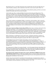Mary blessed (1:48; cf. 1:42). Why? Not because she was perfect like some teach, but rather she was a model of humility, obedience, belief, submission to God. She was truly "poor in spirit" (Matt. 5:3).

In our spiritual birth, we must realize we had nothing to offer spiritually speaking, and God, too, has been mindful of the humble state of his servants in his grace.

In this humble state, Mary worships the Mighty One because he has done great things for her. The reference to the Mighty One in the Old Testament alludes to God who fights on behalf of his people to deliver them. God is a warrior who delivers his people through victorious power (Zeph. 3:17). Here God exercised his power to create the child. What God promised and what seemed impossible was possible for God, the Mighty One, for he exercises his power to deliver his people through the birth of a Son, Jesus Christ.

Three of God's attributes are highlighted: Mighty, as noted above, Holy and Mercy. Mary's reason for praising God focuses on his being, for he is worthy of our worship for who he is. Because of who God is he acts a certain way. Specifically, Mary focuses on God's attributes of power, exalted holiness and mercy, descriptions of God's attributes which are designed to highlight his specific attributes most prominently displayed in this miraculous work in salvation history. All of this places our focus on God, not Mary.

**God's mercy is given to all those who fear him (1:50-53).** God's "mercy is for those who fear him from generation to generation" (1:50) is included in both key truths in Mary's song since it serves as a transitional verse. It draws to a conclusion Mary's statement about herself, and it serves as an introduction to what is stated about the widespread impact of the birth of Jesus Christ. Additionally, in the last section, God was praised for his attributes. They reflect who he is, and based on who he is he responds in certain ways. So, the transition is from focusing on God's nature to his works, and he is praised for both.

Being a God-fearer is a requirement to receive God's mercy. And being a God-fearer is reflective of having received God's mercy. These twin truths are not in competition with one another but are, rather, reflective of the outworking of the gospel in a person's life. There is no place for pride.

God the Mighty One has performed mighty deeds leading to salvation and judgment. This is accomplished through his arm – a common metaphor/reference (an *anthropomorphism* – a figure of speech that describes God as having a human form or characteristic) in the Old Testament to the power of God, especially regarding his deliverance of his people from bondage in Egypt in the Exodus. Thus, God's arm becomes an image of the second exodus, deliverance of his people from spiritual death and bondage to sin.

His coming means two things to two groups of people – one to the arrogant and proud, and another to the humble. He has scattered the proud, brought down rulers, and sent the rich away empty. He has lifted up the humble and filled the hungry with good things. The coming of the king to establish his kingdom sets things right according to his norms and standards, not ours or any human king.

**The ground of God's acting for his people is the covenant, which finds its fulfillment in the arrival of the Messiah (1:54-55).** Reflective of the king's kingdom, there is a reversal of what is expected of an earthly king and kingdom. In contrast to the proud and arrogant, the poor and marginalized receive God's blessings (Lk. 4:18; 6:20-22; 7:22; 14:13, 21).

In God's mercy, his servant Israel is remembered. God remembers his covenantal promises spoken to Abraham and the fathers. This is now the redemptive historical fulfillment of God's promises. Jesus' birth is the redemptive historical fulfillment of God's promises (cf. 2 Cor. 1:20).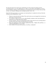Not only does Israel receive God's mercy and blessing, not only are they the recipients of God's covenantal promises, so are "his offspring forever." There is a universality to this fulfillment. All those who are Abraham's offspring will be remembered and extended mercy by God. All those who have faith in Christ "are Abraham's offspring, heirs according to promise" (Gal. 3:29).

Ponder the following questions as you prepare your mind and heart to worship the Lord Jesus Christ this Christmas season through Mary's song:

- 1. What do we learn from the life of Mary? How and why does your soul magnify the Lord and your spirit rejoice in God our Savior?
- 2. As we observe in Mary, how do we live a life of humility, obedience, belief, and submission to God? How do we reflect being "poor in spirit"?
- 3. Of God's promises, what are you being asked to believe and in what ways are you being asked to trust him at this season of the year and at this time in your life?
- 4. What is the significance of God's attributes emphasized by Mary Mighty, Holy and Mercy as understood and applied in your own life?
- 5. God is faithful to his name and his promises. Like Mary, worship him!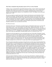#### **Week Three: Zechariah's Song:** *Benedictus* **(Luke 1:67-79; cf. 1:5-25, 57-66, 80)**

In Mary's song, we learned that the angel Gabriel appeared to Mary (1:26-27) with the message that she would bear a Son whom she was to call Jesus (1:31). In her excitement, Mary went to visit her relative Elizabeth (1:36) to tell her the Good News of her pregnancy with the holy Jesus (1:39-45). Mary's response, the only appropriate response, was to sing praises to God for "the Mighty One has done great things for me"  $(1:49)$ .

We now move back to an earlier time in Luke's Gospel, to the historical record of the birth of John to Zechariah and Elizabeth. Although Zechariah's song of thanks and praise occurs after Mary's song, Luke's account actually begins with them. Mary sings her song of praise and worship to God (1:46-55) after she is informed of her miraculous conception (1:26-38), and her visit with Elizabeth and Zechariah (1:39-45). Zechariah's song, which is a prophecy, is spoken after John is born and Zechariah's tongue was loosed, his punishment of being unable to speak for disbelieving the promise of God that he and Elizabeth would bear a son was removed (1:20, 63-64).

## *The Historical Context*

Zechariah (which means "Yahweh has remembered again") and Elizabeth (which means "my God is the one by whom I swear" or "my God is fortune") were, like Mary, "righteous before God." They also walked "blamelessly in all the commandments and statutes of the Lord" (1:6). Zechariah was a priest, not a high priest, who belonged to the priestly division of Abijah, while Elizabeth was a descendent of Aaron, the first priest (Ex. 28:1-5). Although they wanted children, they were unable because Elizabeth was barren, and to add to the impossibility of bearing children, both were "advanced in years" (1:6).

All priests served in the temple for two one-week periods each year. In the midst of Zechariah's annual ministry, he was chosen by lot to engage in the greatest ministry of his career, to go into the temple of the Lord and burn incense (1:9). This special ministry was performed only once in a lifetime. When Zechariah was ministering in the temple burning incense to the Lord, Gabriel appeared to him and brought the message a message from God (1:19). The angel informed him that he and Elizabeth would bear a son, and they were to call him John (1:13). John's ministry was to be that of a forerunner of the Messiah, to prepare the way for the Lord, "to make ready for the Lord a people prepared" (1:17).

Due to the apparent impossible circumstances facing this barren and old couple, Zechariah doubted God and his promise (1:18). God disciplined him by striking him mute until the birth of John (1:20). He exited the temple unable to speak. It is important to note the similarities and differences between Zechariah's and Mary's questions. They both ask questions and wonder how the promise given to them by the angel will be fulfilled, since both are humanly impossible. Mary's question was answered and she, in turn, was blessed because she believed what the Lord had said to her would be accomplished. The Lord not only *had to* fulfill his promise, since it was impossible, he *would* fulfill his promise. In contrast, Zechariah doubted so he asked for a sign of confirmation to validate this promise. God did grant a sign, but it was in the form of a rebuke due to his lack of faith, his disbelief. He was not able to speak. He lived for the fill length of the pregnancy, nine months, with the promise and the sign, without any full realization of the fulfillment of the promise. Elizabeth knew this was only a work of the grace of God, and uttered "the Lord has done this for me" (1:25).

After nine months, Elizabeth gave birth to a son, and everyone shared their joy. Eight days later they brought the baby boy to be circumcised and to name him. Others wanted to name him after his father, but Elizabeth insisted that he be called John (1:59-60). When they asked Zechariah, he asked for a writing tablet and wrote "His name is John" (1:63).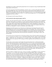Immediately he was able to speak and he praised God (1:63). In response he sang a beautiful Spirit-filled song of praise, the *Benedictus*.

In sum, the song praises God for His redemption, salvation, mercy, covenant, all brought about through the coming Davidic ruler, Jesus (1:68-75). It also focuses on the ministry of John (later known as the Baptist). He is the prophet of the Most High who will prepare the way (1:76), and to bring the knowledge of salvation through the forgiveness of sins (1:77), which comes through Jesus (1:78-79), the light of the world (Jn. 8:12; cf. Jn. 3:19-21).

# *The Theological and Doxological Response*

# **God is praised for delivering his people (1:68-75).**

*God has come and redeemed his people (1:68a).* God's coming can refer to a gracious act or to judgment, often both. In this instance, the reference is to God's gracious coming for deliverance of his people, but there is also an implicit statement about his judgement because he frees his people from the *enemies* who will be judged. This coming is linked with the Messiah Jesus' coming. The Messiah's coming means redemption for God's people. It means deliverance from enemies, so that God's people are free to serve the Deliverer. Redemption is release to a Redeemer, and worship of him.

Redemption has Old Testament roots. The divine act of deliverance from Egypt became the type for understanding God's future acts of redemption and salvation for his people. Thus, with the coming of God in the Messiah Jesus, true liberation and redemption occur in both the physical and spiritual realms. Salvation in Christ becomes the anti-type, the fulfillment of the Egyptian experience and rather than Moses leading to the promised land, and who died before entering into it, Jesus brings us safely to the promised land.

*God raised up a horn of salvation for us in the house of David, about which the prophets had spoken, and we were saved from our enemies (1:69-71).* In the Old Testament, the term "raised" is used of significant figures – prophet (Dt. 18:15, 180, judge (Jd. 3:9, 15), priest (1 Sam. 2:35), and king (2 Sam. 23:1). In this Messiah, the one who represents God's coming, all of these significant titles and functions converge into one person.

The Messiah is a person of power and strength. The term horn pictures the ox with horns that defeat enemies with the powerful thrust of its protected head (Dt. 33:17). It is also used of God himself (2 Sam. 22:3; Ps. 18:2). This Messiah who will be raised up is from the line and lineage of David and he fulfills the promise spoken by him (2 Sam. 7:14), and confirmed by many other prophets. There is divine unity in the biblical account: "as he spoke by the mouth of his holy prophets from of old" (1:70). The message of the prophets is unified, though spoken by many, because the message of God's promise remains the same throughout all ages, and its unity is guaranteed because he is the divine author. This Messiah, who is strong and fulfilled prophecy, saved and saves us from our enemies.

*Salvation produces or displays God's mercy, shown to our fathers, and faithfulness, he has remembered his covenant (1:72-73).* God's mercy and his covenant are brought together. Mercy is punishment withheld that is deserved, and grace, the other side of this twin truth, is a gift freely given undeserved. In God's mercy, he acts. He sends the Messiah to save his people, our fathers in the faith. In doing this, he is faithful to the covenant, the original covenant given to Abraham (Gen. 12:1-3), who is our father in the faith (Gal. 3:29). For God "to remember," it does not mean simply to bring to mind. Rather, it refers to God bringing his promise to completion, to fulfillment. In relation to the covenant, notice, importantly, the reference both to Abraham (1:73) and David (1:69). It is important to acknowledge God sends a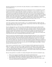Messiah not primarily for us, but for him. He sends a Messiah as a result of faithfulness to his covenant, and secondarily for us.

The reason God did this, the purpose of God's mercy, the forgiveness of sins, to remember his covenant, to rescue from enemies, was the following: *The purpose of salvation ("we were rescued") is that we might serve the Lord (worship) without fear in holiness and righteousness before him all our days (1:74- 75).* God delivers his people from the hands of their enemies, he saves us, and in saving his people he fulfills the covenant, and he does all of this for his name's sake. In response, when God delivers, redeems and saves for his sake, he does this so his people can serve him fearlessly, without fear. This expression is emphatic. If the enemy keeps people in fear of death and judgement and condemnation, God delivers from fear. This expression "without fear" is emphatic. Freed from these enemies and fears (Heb. 2:14-18), we are saved to serve, to worship, an engagement with God in all of life (cf. Rom. 12:1-2).

## **God is also praised for what he will do through John and Jesus (1:76-79).**

*John will be called the prophet of the Most High (1:76-77).* Zechariah transitions to address John and Jesus. Most High refers to God. John is God's prophet, whereas Jesus is God's Son. John, though older, is subordinate to Jesus. John's role is twofold.

First, he will prepare the way of the Lord. John is the fulfillment of promises given earlier by Isaiah (40:3) and Malachi (3:1). There is continuity between John's and Jesus' ministry, but when Jesus comes, John's particular ministry is over. Jesus holds center stage in redemptive history. All that precedes points toward his coming, and all subsequent to this, points back to his coming. He is the center point of all of redemptive history. The Lord is *κύριος (Kurios).* In the Greek translation of the Old Testament (the Septuagint), this term is used of God, translating the *tetragrammaton*, Yahweh. But in the coming of the Lord, God, the Lord is Jesus. This passage teaches about the deity of Christ.

John will, second, give the people knowledge of salvation through the forgiveness of sins. Forgiveness is connected with salvation. Since sin is defiance and rebellion against God, that sin must be forgiven or there will be no salvation. John will proclaim this salvation and forgiveness of sins, but it is Jesus who alone can and will provide it. This is why when John first encountered Jesus while *in utero*, he leaped (1:41). This also explains why when John saw Jesus later in life he exclaimed, "Behold, the Lamb of God, who takes away the sin of the world" (Jn. 1:29, 36)! And understanding his role in redemptive history as the one who points to Jesus and once he arrives, his role is over and he rightly acknowledges, "He must increase, but I must decrease" (Jn. 3:30).

*Jesus is sent as a result of God's mercy (1:78-79).* It is because of God's tender mercy he acts for his people. The "sunrise" will visit us from "on high," from heaven. God initiatives. Here it states he will "visit us," a repetition from what is stated earlier about God's having "visited and redeemed his people" (1:68). The sunrise dispels the darkness (cf. Isa. 60:1-3), and spiritually it gives the light of life and removes death and the shadow of death (Jn. 1:4-5; 8:12). Jesus comes to shine on those living in darkness. The result of his coming is that he guides us into peace.

Here are some questions as we ponder over and pray through the truths expressed in Zechariah's song:

- 1. What were the apparent impossibilities that Zechariah and Elizabeth faced?
- 2. Even though something may be impossible, humanly speaking, it does not necessarily make that thing impossible. Why? What was Elizabeth's response? What was Mary told (1:37)?
- 3. Why was Zechariah disciplined, what form did this discipline take, and for how long? In what ways and in what areas are you doubting God?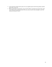- 4. God's blessings naturally lead to praise. Do you regularly praise God for His goodness and His gifts? Why or why not?
- 5. What are the themes of Zechariah's song (1:68-79)? What is said about God, about John, about Jesus? What are the significant truths in this story that are need to hear and apply in your life, especially during this season?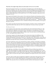## **Week Four: The Angels' Song:** *Gloria in Excelsis* **(Luke 2:13-14; cf. 2:1-12, 15-20)**

Mary became pregnant with Jesus (1:31), the God-man, through the power of the Most High, the miraculous conception (1:35). After receiving this news and acknowledging her trust and dependency on the Lord, she visited Elizabeth, her relative (1:39-40), who was in her sixth month of pregnancy (1:36). After arriving and greeting one another, Elizabeth notes John leaped for joy in her womb at the voice of Mary, in reality in the presence of the Messiah, Jesus (1:41-45). Mary responded in song, known as the *Magnificat* (1:46-55).

Mary stayed with Elizabeth for three months (1:56) at which time Elizabeth and Zechariah gave birth to John (1:57-66). In spite of requests from their family, Elizabeth insisted on naming him John. When they asked Zechariah, he agreed in writing that his name would be John (1:59-63). Immediately after writing John, "his mouth was opened and his tongue loosed, and he spoke, blessing God. . . . Zechariah was filled with the Holy Spirit and prophesied (1:64, 67). Zechariah's blessing of God, his prophecy is his song, the *Benedictus* (1:68-79).

Mary sang her song after the announcement of her miraculous conception (1:46-55). Zechariah sang his song after the birth of John, their son (1:68-79). Six months later it was time for Mary to give birth.

## *The Historical Context*

Caesar Augustus issued a decree that a census should be taken of the whole Roman Empire (2:1). This decree calls for the registration of provincial citizens for the purpose of assessing taxes. All those who lived under Rome's authority were required to register. The decree was issued by the Roman leader, Octavian, Caesar Augustus, the great nephew of Julius Caesar. He came to power as the Roman dictator in 27 BC, and reigned until his death in 14 AD.

Luke portrays Augusts as the unknowing agent of God, whose decree leads to the fulfillment of the promise made by God long ago, that a special ruler would be born in Bethlehem (Micah 5:1-2). This occurred while Quirinius was governor of Syria (2:2). Luke places Jesus' birth in history, in the context of world history. It is not just part of history, it is about to make history because all people be affected. Even though the exact date of the census is not known, the fact of the birth is certain!

This meant Joseph had to return to his ancestral home to register, and Mary, his betrothed, accompanied him (2:3-5). They traveled to Bethlehem, the town of David, because Joseph was from the house and line of David. Luke makes the connection to Old Testament promises, which fulfills prophecy. On the human level, all of this seemed to be senseless and useless, nothing but a bother to a man with a pregnant woman who was not even yet his wife. And yet, they were all engaged in the process of fulfilling prophecy that had been spoken by God 500-750 years earlier.

At the right time, in the fullness of time, while in Bethlehem, Mary gave birth to Jesus and he was wrapped in cloths and placed in a manger because there was no room in all of Bethlehem (2:6-7). Once again – this is not a mistake. It took place at just the right time: When the time had fully come" (Gal. 4:4). God is behind the timing of events, and the time is always perfect. These humble beginnings are also part of God's plan for it becomes the sign by which the shepherds will recognize the Savior, who is Christ the Lord.

After Jesus' birth, an angle of the Lord appeared to shepherds to inform them of this good news (2:8-9). Not only did Jesus have a humble beginning, but his birth was announced first to humble and lowly shepherds (cf. 1:38, 52; 4:16-18), whose testimony was oftentimes not accepted in the court of law as credible. This means that if this was a fabrication, the birth would have been announced to credible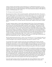witnesses. Instead, in the providence of God, and because it is a valid historical account (Lk. 1:3), it is recorded as historical fact: the angel appeared to the shepherds. The context in which the angel appeared was that "the glory of the Lord shone around them" (2:9), which illumined the darkness of the night sky, a reference to the Shekinah glory (Ex. 16:10).

## *The Theological and Doxological Response*

*The announcement of Christ's birth was given by an angel: "And the angel said to them, 'Fear not, for behold, I bring you good news of great joy that will be for all the people. For unto you is born this day in the city of David a Savior, who is Christ the Lord. And this will be a sign for you: you will find a baby wrapped in swaddling cloths and lying in a manger'" (2:10-12).* The shepherds were frightened. The angel calms their fears. The angel's appearance is not for judgment, but for bringing good news. He communicates the wonderful event of Jesus' ("Christ the Lord") birth, which is good news and results in great joy for all people (2:10). The sign is that they will find a baby wrapped in cloths lying in a manger  $(2:11)$ .

The angel's message contains six major truths regarding the birth of Jesus. First, the announcement is "good news." The term for good news is gospel. The gospel is something God has done in sending his Son to be the Savior. Second, this birth which is good news causes "great joy." The greatest joy in the world is that the Lord Jesus Christ became a man, the God-man. God delights to send his Son to be the Savior of the world" (Jn. 4:42; 1 Jn. 4:14). This also informs us of what ought to bring us true joy. Third, this fact has a bearing on "all the people." This good news of the gospel is not only for the shepherds, but this is good news of great joy for all people. The gospel, the coming of Jesus is for all people, the hope and peace for the world. Fourth, the reason the message is good news and is cause for great joy is because "this day" the birth of "a Savior, who is Christ the Lord" has occurred. Fifth, the birth of Christ the Lord is in the line of David, a Davidic king (2 Sam. 7:8-16; 1 Chron. 17:11-14), and the fulfillment of a prophecy, as he will be born "in the city of David." Finally, the truth of all the angel communicated with them will be authenticated with a sign – a babe lying in a manger.

*After the angel pronounced the birth of "a Savior, who is Christ the Lord" (2:11), joining the angel was a "multitude of the heavenly host praising God and saying" (2:13) (known as* Gloria in Excelsis*): ""Glory to God in the highest, and on earth peace among those with whom he is pleased" (2:14)*!

You will notice there are three-word pairs: glory-peace, heaven (highest)-earth; God-men. The KJV translates this verse as follows: "Glory to God in the highest, and on earth peace, good will toward men." Note the three-part division: (1) *Glory* to God in the highest, (2) and on earth *peace,* (3) *good will* toward men. Rather, it seems that the two-part division as reflected in the ESV (and NASB, NIV, NLT) is more accurate: (1) Glory to God in the highest, (2) and on earth peace among those with whom he is pleased."

This verse, the angels' song, did not address the "good will" to be manifested on earth by human beings toward one another (KJV). Although that is not bad or wrong, the text does not teach that it is a horizontal reference. It does not refer to the "good will" as the disposition required of human beings to be recipients of the peace, "peace among men of good will," as if we earn God's peace by being good natured, neither does it refer to the "good will" or esteem that some people might enjoy among others. Rather, good will was to be understood of God's "good pleasure" given to those whom God has favored with his grace (cf. Mary in 1:28, 30). This becomes a common phrase, albeit a technical phrase in first century Judaism, for God's people, his elect, those on whom God has poured out his favor. God is the one who offers and grants peace, and those who are the recipients receive God's peace through his grace.

In sum, the angels' message consists of two major truths. First, God is glorified for who he is and for what he has done. The heavens rejoice and praise God for the outworking of God's salvation, the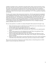unfolding of redemptive history culminating in the birth (and life, death, ascension and return) of Jesus, the Savior, Christ the Lord. Second, peace is extended to those upon whom God's favor, his grace, rests. The people to whom God draws near through Jesus will experience the life and peace God bestows, which has vertical implications such that we are now at peace with God (Rom. 5:1), and also horizontal implications, in that we are now at peace with one another (Eph. 2:14-17). This is good news of great joy for all people.

Worship was the response to this announcement of good news. After the angels departed, the shepherds went to Bethlehem and found Mary, Joseph and the baby (2;16), just as they had been told (2:20). They responded obediently to the message given by God through the angels. Immediately they began to tell others about this good news. They spread the word (proclaimed) about the arrival of the Savior who is Christ the Lord. People were amazed at what they heard (2:17-18). Mary treasured these things and pondered them in her heart. She worshipped God privately and in the quiet of her heart (2:19; cf. Ps. 95:6- 7). The shepherds returned to their fields glorifying and praised God. They worshipped corporately, publicly and boldly (2:20; cf. Ps. 95:1-2).

Here are some questions as we ponder over and pray through the truths expressed in the angels' song:

- 1. What is the historical context in which this all occurs? What lessons can we learn about our own historical context and God's sovereign control over it?
- 2. To whom did the angel (singular) appear and what is the significance?
- 3. Why were the shepherds afraid? What calmed their fears? What fears are you experiencing this season?
- 4. What was the message given to the shepherds by the angel? What is the significance? What promises of God do you need to be reminded of this season?
- 5. When the angels (plural) appeared they sang a song. What did they sing? What do you learn about our condition and need, and God's offer of grace, mercy and peace, and our message and hope for all people?
- 6. What do you notice about all those associated with the birth of Jesus? How will the remembrance of the birth of Jesus Christ affect you this season, and will your response be that of worship?

May we receive the good news with great joy and worship, and may we share that good news with all people! O come let us adore him, Christ the Lord!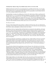## **Christmas Day: Simeon's Song:** *Nunc Dimittis* **(Luke 2:25-32; cf. 2:21-24, 33-40)**

Eight days after Jesus was born, he was circumcised (2:21), according to the law (Gen. 17:11-12), and given the name Jesus  $(2:21)$ , just as the angel Gabriel had said  $(1:31)$ . Jesus was circumcised to identify with Israel; He was/is our representative, and is the one who is preeminently a son, the chosen One (Lk. 9:35). [Jesus undergoes baptism for the same reason].

Joseph and Mary were pious, law-abiding Jews (2:22-24, 39). After the time of Mary's purification (40 days after birth, Lev. 12:2-4, 6), they traveled from Bethlehem to the temple in Jerusalem to present their firstborn, Jesus, to the Lord (2:22; cf. Ex. 13:2; Num. 18:15-16) and His service (I Sam. 1-2), and to offer a sacrifice in accordance with the Law of the Lord (2:24; cf. Lev. 12:8). The Law stated that one was to offer a lamb as a burnt offering and a turtledove as a sin offering. If one was poor and could not afford a lamb, then either two turtledoves or two pigeons would be sacrificed. Joseph and Mary's offering was that of the poor which identified with those Christ came to save (1:52; 4:18-19; 6:20).

# *The Historical Context*

The focus of this fourth and final song is Simeon, a righteous and devout man, who was waiting for the consolation of Israel. When he saw the baby Jesus, his wait was over. He took him in his arms and praised God. Simeon's praise and prophecy are known as the *Nunc Dimittis*.

In obedience to the law, Joseph and Mary had their baby boy circumcised on the eighth day, and named him Jesus. They do what all Jewish parents would have done who had given birth to a Jewish son. In the Old Testament, the law stated tan any son of Abraham should be circumcised on the eighth day (Gen. 17:11-12; Lk. 1:59). In the baby's circumcision he was identifying with his people as their representative leader or as a representative human. But the main emphasis of this text of Scripture is on the naming of this baby boy – Jesus – not his circumcision. The name means save or salvation, which aligns closely with how he was referred to in 2:11: "Savior, Christ the Lord." Jesus is his name, Christ is his title, and Savior is his purpose.

After the prescribed time of purification, according to the law, Joseph and Mary took Jesus to Jerusalem to present their firstborn to the Lord and to dedicate him to the Lord's service (Lk. 2:22-23). The law stated that the mother of a male child was unclean for 7 days and then had to be confined for 33 days before traveling to the temple to offer a sacrifice. The presentation of the firstborn to the Lord (Ex. 13:2, 12, 15) and the dedication of the firstborn to the Lord's service (1 Sam. 1-2) were both commanded in Scripture.

The sacrifice they offered for their purification was that of the poor. One of the birds was for the burnt offering and the other for the sin offering  $(2.24)$ . In Leviticus 12:2-4, 6 a lamb and turtle dove are to be offered unless you cannot afford it. Then it was to be either two turtle doves or two pigeons. The offerings emphasize different aspects in the process of communion with God. The sin offering emphasizes punishment or retribution for sin borne by the animal instead of the worshipper. The burnt offering emphasizes complete, whole consecration to God, which includes utter destruction of sin and uncleanness – the animal sacrifice is completely consumed. Even here we look forward to Christ as the final offering to which all the animal sacrifices find their fulfillment. As Mary and Joseph make the offering of the poor, they identify with those their son, Jesus, came to save (1:52; 4:18-19; 6:20).

While Joseph and Mary were in the temple with Jesus, they were met by an old man named Simeon who said great things about Jesus (2:25-35). We will say more about Simeon below, as we focus on his "song." There was also an old prophetess named Anna who continually worshipped in the temple. She too gave thanks to God for Jesus and tied Jesus in with the redemption of Jerusalem (2:36-38). Anna was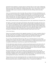married but lost her husband at a young age and never remarried. She was a pious woman. Although she did not live on the temple grounds, there would have been a place for her to stay, and she was there daily, fasting and praying. We are told that she worshipped night and day. Anna's activity pictures a person whose life is totally focused, consumed on serving God (as the burnt offering, totally consecrated, consumed).

Anna, too, encountered Jesus while in the temple. She gave thanks to God for this child-Redeemer, and also spoke to the crowd about Israel's redemption through this child – he would redeem those enslaved to sin (2:38). The focus is on the Redeemer and the new age ushered in with his birth. Anna reveals that before the Messiah came, one could be decent and live a good life. But it is an unfulfilled life, which reflects a life absent true, real, lasting and abiding life. That is why John's words are so apt: "He sent his one and only Son into the world that we might live through him" (1 Jn. 4:9).

When Joseph and Mary had done everything required by the law, they returned home to Nazareth (2:39).

The infancy events began in the temple with Zechariah (1:5ff) and ended in the temple with Jesus (2:41- 51). After all the events of Jesus birth, "Mary treasured up all these things, pondering them in her heart" (2:19). After an early fulfillment of Simeon's prophecy regarding the blessing and pain brought about in Jesus, while he tarried in the temple that caused his parents concern when they could not find him, Mary "his mother treasured up all these things in her heart" (2:51). Jesus' public life begins in the temple and it ends by him replacing the temple or becoming the true ultimate temple that the earthly temple foreshadowed. Humankind, both male (Simeon) and female (Anna), praise God for Jesus.

# *A Word About Simeon*

Simeon was in Jerusalem waiting for God's appointed consolation (2:25). Israel's consolation referred to the hope of deliverance for the people. In the Old Testament various agents brought God's consolation, but a primary agent who was anticipated was the Servant of God. This desire for consolation or deliverance characterizes the believer or God-fearer in Luke (6:23-24; 17:22-37; 21:25-36)

He was clearly a Spirit-filled and Spirit-led man. What was revealed about Simeon was his spiritual condition, not his vocation or his age. He is righteous and devout, an exemplary saint. The text states "the Holy Spirit was upon him" (2:25). Verses 25-27 reveal his character is a result of the Holy Spirit, his life was guided by the Holy Spirit. He had received a special work of the Holy Spirit.

The Holy Spirit had revealed to him that he would not die until he had seen the Lord's Christ (2:26). He was anxiously waiting. Simeon received a promise that God would not let him die without seeing the Messiah, the Lord's Christ. The Lord's Christ, the Messiah in verse 26 is linked with the consolation of Israel in verse 25. It was for this that he waited. But he trusted that God's word was sure and it would be fulfilled so he did not wait hopelessly. Rather he waited hopefully.

Moved by the Holy Spirit, he went into the temple courts and there he met face to face Jesus, the consolation of Israel (2:27). Once again we see Simeon being guided and led by the Holy Spirit. By the Holy Spirit's prompting, Simeon went to the temple and while there his wait was terminated as he met Joseph, Mary, and baby Jesus. Can you imagine his elation and excitement – his wait was now over, but more importantly God's promise, which always comes true, had been fulfilled.

Simeon took Jesus in his arms and praised God (2:28). I can imagine that Simeon was overcome with gratitude to the point of tears. As he grabbed the baby Jesus, we can see tears streaming down his face, his knees growing weak, almost to the point of needing to sit down. The praise then completes the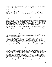excitement, the joy he feels over the fulfillment of God's promise. This leads him to sing a song of praise to God for the fulfillment of the prophecy, and to utter a prophecy about the future ministry of Jesus

## *The Theological and Doxological Response*

Now that he had seen Him, his life could end in peace (2:29), because he had seen the Lord's salvation (2:30), which is to be for all people (2:31). Simeon also prophesied that Jesus would cause the rising and falling of man in Israel and Mary's soul would be pierced (2:33-35). In the midst of this worship Simeon "sings," the fourth and final songs Luke records of the infancy narratives.

The song emphasizes that Jesus' birth is the fulfillment of God's promises to redeem his people, and through the song he utters a prophecy of the future ministry of Jesus.

*God is praised for the fulfillment of his promise (2:29-32).* God is addressed as the sovereign Lord who is faithful to his promises (2:29). God is the Lord, Master over everything. He determines the beginning and the end. What he has ordained will occur. What he has spoken, will come to pass. Here Simeon praises the sovereign Lord who was – and remains – faithful to his promises, and in his kind mercy he allowed Simeon to live to see and experience the consolation of Israel, in the Lord's Christ, Jesus.

Simeon, God's servant, can now depart in peace (2:29). In the Greek text, "Now" stands at the beginning of this sentence and is there for emphasis. In the coming of Jesus, "now is the time – the time of the consolation of Israel. (It brings to mind Paul's urgent and timely exhortation, where the same word is used: "Behold, *now* is the favorable time; behold, *now* is the day of salvation" (2 Cor. 6:2, emphasis mine).) Simeon is God's servant. He refers to himself as "your servant," much like Mary referred to herself (1:38), and is a fitting contrast to the description of God as the sovereign one. Simeon is like the watcher who can now leave his assigned post because the anticipated event has come. Now the watcher is ready to die and he can depart in peace because he has seen and held the Prince of Peace (Isa. 9:6; Jn. 16:33), sent from the God of Peace (Phil. 4:9; Rom. 16:20) and experienced the peace of God (Phil. 4:7) because he was at peace with God (Rom. 5:1).

The reason Simeon can now depart is because he has seen the Lord's salvation, a light, prepared in the sight of all people: revelation to the Gentiles and glory to Israel (2:30-32). In the coming of Jesus, salvation come. This is why it was essential for Simeon to experience it. Then and only then can he depart, not under a burden, but in peace. Although Simeon was a righteous and devout man, he was not prepared to depart in peace until he met Christ. Only then he was ready. This salvation was not outside of history, given to a few special people. It was done within of history in the sight of all people. God intends to extend to all the salvation that comes in Jesus. The light is Jesus himself and he comes to shine in the darkness (1:79). The effect of this light will be revelation will to the Gentiles – the Word, and glory to Israel, the Shekinah glory. God is acting for his people. This explains how he will be the consolation or deliverer.

*Jesus' future ministry is described (2:34-35):* "And Simeon blessed them and said to Mary his mother, 'Behold, this child is appointed for the fall and rising of many in Israel, and for a sign that is opposed (and a sword will pierce through your own soul also), so that thoughts from many hearts may be revealed.'

Jesus' ministry will cause pain for his mother, Mary. The reference is to the pain that Jesus' ministry causes Mary, as Jesus creates his own family of disciples and his own priorities, and his suffering because of it. This is seen early in Jesus' ministry. After a trip to Jerusalem to celebrate the Feast of the Passover, they returned home, and assumed the boy Jesus was with them. After traveling a day, they realized he was not with them. They returned to Jerusalem looking for him, and continued to search for him three days before they found him – in the temple. Upon being questioned by Mary, he replied, "Why were you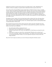looking for me? Did you not know that I must be in my Father's house" (2:49). Although this was reflective of Simeon's prophecy, his parents did not understand what he meant by this (2:50).

Jesus will cause the rising and falling of many people. Please will either be drawn to Jesus or stumble over him. Those who reject him are headed for a fall, while those who receive him in faith are headed for a rising, a blessing. The sign will be that of resistance, contention and rejection of Jesus and his ministry. Simeon addresses how people will respond to Jesus. He will be resisted and rejected. For those who resist, Jesus will not be a hope of promise fulfilled, but a figure who is to be opposed. Although Jesus is God's hope, not all will respond positively to him. The reality of this experience will "pierce through your own "[Mary's] soul."

The purpose of Jesus' ministry will reveal where hearts really are before God. Jesus will expose those who do not believe. How humans respond to God's promise is made evident by how they respond to Jesus, as that will reveal their thoughts (cf. Heb. 4:12). And that response results in eternal spiritual death or eternal blessedness with the Lord.

Mary pondered and treasured all of these truths in her heart. Simeon states that "thoughts from many hearts may be revealed" in responses to Jesus. With this in mind, ponder these questions, treasure these truths in your hearts, and worship him.

- 1. How did Joseph and Mary respond to the Law?
- 2. What kind of a man was Simeon? How is he described?
- 3. Why does Simeon praise God? What is the significance of what Simeon says about the Lord's Christ?
- 4. What kind of a woman was Anna? How is she described? What does she say about Jesus?
- 5. If you were to die today, could you sing with Simeon, "now dismiss your servant in peace?" Have you encountered the Prince of Peace, so you can experience the peace of God, the One who brings salvation?

May God's favor be upon you and may you receive His peace during this Christmas season!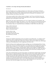## **Conclusion: A New Song: The Song of Eternity (Revelation 5)**

#### *Introduction*

The text of Scripture serves as a fitting conclusion to our Advent series on The Songs of Christmas: Mary's Song (*Magnificat*), Zechariah's Song (*Benedictus*), the Angels' Song (*Gloria in Excelsis*), and Simeon's Song (*Nunc Dimittis*). Each of them praised God for His goodness, His faithfulness to His covenant, His grace, His salvation, Jesus Christ.

As the songs recorded in Luke's infancy narrative in chapters 1 and 2 focus on the birth of Jesus, this song focuses on the death and resurrection and exalted status of Jesus, and he is praised for redemption purchased. This was the purpose of Jesus' birth!

With the New Year, many commit themselves to do "new" things by making a list of resolutions. The Bible is also filled with new things. One of them is "a new song," the focus of our final advent devotional. Not only is Revelation 4-5 a fitting conclusion to this series, it is an appropriate way to begin the New Year, learning to sing a new song which focuses on redemption. As Isaac Watts wrote and we sing,

Come, ye that love the Lord, And let your joys be known; Join in a song with sweet accord, While ye surround the throne.

Let those refuse to sing, Who never knew our God; But children of the heavenly King, May speak their joys abroad.

#### *Overview*

John has just completed writing letters to the seven churches of Asia Minor (Rev. 2-3). Chapters 4 and 5 constitute one vision, worship on the throne room of heaven. Chapter 4 sets the stage for the drama of chapter 5. Chapter 4 describes John's initial vision of what he sees in heaven's throne room, while chapter 5 describes the unfolding drama of what is happening in the throne room.

John first of all sees a door standing open in heaven, and there was a voice that beckoned him to "Come up here, and I will show you what must take place" (4:1). While John was in the Spirit, he saw before him a throne with an occupant (4:2). The occupant was God Himself and the throne signified His supreme, absolute authority over everything - the transcendence, majesty, and sovereignty of Almighty God (4:1- 6a). He was surrounded by twenty-four thrones upon which twenty-four elders were seated. This refers to (The elders are an exalted angelic order who serve and adore God as the heavenly counterpart to the 24 priestly and 24 Levitical orders [cf. 1 Chron. 24:4; 25:9-13].)

In the center around the throne were four living creatures, an exalted order of angelic beings, who lead the heavenly hosts in worship and adoration of God (4:6b-8a). The four living creatures and the twenty-four elders are both an exalted order of angelic beings, while the four living creatures lead the praise and worship, the twenty-four elders follow their lead: praise the "Lord God Almighty, who was, and is, and is to come" (4:8b). Praise and worship of God is unceasing, and is based on his attributes: holiness, omnipotence, and eternal existence (4:8b-9). The living creatures give glory, honor and thanks to God, who sits on the throne and who lives forever and ever. Day and night, they never stop saying, "Holy, holy, holy is the Lord God Almighty, who was, and is, and is to come."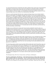To a persecuted church and an exiled John, these truths would have been a great source of encouragement and strength. As the four living creatures praise and worship God, it leads the 24 elders to fall down before God and worship him also (4:10). The twenty-four elders praise God directly for his creation (4:10-11). They say, "You are worthy, our Lord and God, to receive glory and honor and power, for you created all things, and by your will they were created and have their being."

John sees a scroll in the hand of the One who is seated on the throne, but no one was found worthy to open it or to look inside it. Overwhelmed with grief, John wept (5:1-4). The scroll contained writing on both sides (5:1), which speaks of fullness, completeness, plenitude. This scroll contains the fullness of all of God's purposes in judgment and blessing. It contains the full account of what God in his sovereign will has determined as the destiny of the world, which rests in God's hands. No one was found worthy to open the scroll. John wept, not because of ignorance, he did not know what God's plans were, but rather because of an apparent frustration of God's purposes. One of the elders comforted John. The Lion of the tribe of Judah, the root of David has triumphed. He is worthy to open the scroll (5:5). So God's plans are not thwarted, but actually fulfilled by the Lion, the Root. When John looked at the One described as the Lion of the tribe of Judah, the Root of David, he actually saw a Lamb, looking as if it had been slain, standing in the center of the throne (5:6-7). The slain Lamb is the One who took the scroll from the One who sits on the throne, God the Father.

Worship was not confined only to God as the Creator, but also included the Lamb who alone was considered worthy to open the scroll (5:5). No one other than the Lamb was worthy to disclose the plan of Almighty God. As John looked at the victorious, triumphant Lion of the tribe of Judah, the Root of David (5:5), to surprise he saw a Lamb standing in the center of the throne, which looked as though it had been slain (5:6). Ultimate victory comes through sacrifice, the death of a Lamb who lives again. There is no greater display of universal adoration and worship as when the Lamb took the scroll from the One sitting on the throne (5:7).

Various countries have images that reflect might, strength and power. One would think the proper symbol for Christianity would be the Lion, certainly not a helpless, slain lamb. But the Lamb is the ultimate source of strength, power and hope, for the slain Lamb still lives. He is the ultimate outworking of God's plan – overcoming death and sin through death itself and resurrection. God's plan required the death of the God-man. It is appropriate that the One who is the outworking of God's plan should disclose God's plan (cf. Jn. 1:18; Heb. 1:2).

The four living creatures and the twenty-four elders fell down before the Lamb (5:8) and they sang a new song (cf. Ps. 96, 98) praising the Lamb for His redemption (5:9-10). Then innumerable angels joined in the heavenly chorus and sang of the worthiness of the Lamb (5:12). Finally, the climax is reached when all creation sings to the One who sits on the throne and to the Lamb (5:13). This magnificent scene of worship is brought to a close by the four living creatures, who began the singing (4:8), as they cry, "'Amen,' and the elders fell down and worshiped  $(5:14)$ ." The four living creatures and the twenty-four elders fell down before the Lamb and sang a new song, a song focused on the Lamb's redemption. God was praised and worshipped in 4:11 for creation. Here the Lamb is praised and worshipped for redemption.

#### *The Redemption Song: The Person, Ground, Extent, and Purpose of Redemption*

*The Person of Redemption, The Redeemer –* **The Lamb is the only one worthy to take and open the scroll***:* **"And they sang a new song, saying: "You are worthy to take the scroll and to open its seals (Rev. 5:9).** They sang a "new song." This was not the song of creation, but the new song of redemption. The idea of a new song grows out of the Psalms. In 98:1 we read (sing!), "Sing to the Lord a new song,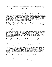for he has done marvelous things; his right hand and his holy arm have worked salvation for him." In other words, every new act of mercy calls forth a new song of gratitude and praise. The song to the Lamb is a new song because the covenant established through his death is a new covenant.

It is interesting to note that the statement, "You are worthy" is the cry with which the Emperor's arrival was celebrated. Any new Caesar or King would be addressed, "You are worthy." But it is extremely important for us to remember that ultimately no king, Caesar, emperor, president or any other created being is worthy to disclose the plan of God and to fulfill it – only the Lamb of God. He alone is the one who is worthy to take the scroll from the hand of God and disclose and enact its contents. The four living creatures and the twenty-four elders were joined by innumerable angels in singing about the worthiness of the Lamb. They sang, "Worthy is the lamb, who was slain, to receive power and wealth and wisdom and strength and honor and glory and praise" (5:12). The first four are attributes of the Lamb while the last three are related to our response to him. As one says of praise, it is "the inevitable climax of it all . . . the one gift that we who have nothing to give to him who possesses all."

*The Ground of Redemption –* **The Lamb is worthy because of his death: "because you were slain" (Rev. 5:9).** Jesus, the Lamb of God, is worthy simply because of who he is. His worthiness is grounded in his essential being. He is, in fact, very God. Yet his worthiness is not solely attributed to who he is, but also what he did. In this text, the Lamb is worthy precisely because he was slain. His worthiness is attributed to his great act of redemption. As the great church Father Gregory of Nazianzus wrote, "Without ceasing to be what he always was [God], he became what he was not [man]." And I like to add, so that we might become what we could not (children of God).

As was stated earlier, God's plan is worked out through the sacrifice of a Lamb, the God-man. As Jesus said during his earthly ministry, the Son of Man "did not come to be served, but to serve, and to give his life as a ransom for many" (Mk. 10:45). Paul reminds believers they were "bought with a price" (1 Cor. 6:20). In this verse, "with (at the cost of) your blood" denotes the pure price paid for the purchasing, the redemption. We were redeemed at the cost of Christ's death. He alone is worthy, and his death is the ground of redemption.

*The Extent of Redemption* **– Through the death of the Lamb, people from every tribe, language, people, and nation were ransomed/purchased: "you ransomed people for God from every tribe and language and people and nation (Rev. 5:9).** Redemption is not universal in the sense that everyone will be redeemed. But it is universal in the sense that it will include people from all kinds and classes of people. Those who are redeemed, those who comprise the church, recognize no national, political, cultural, or racial boundaries. There is no elitism base on anything, only humility because the Lambs is the only One worthy.

This gives meaning to the texts that speak of God's desire for all to be saved such as 1 Timothy 2:4 or 2 Peter 3:9. Some suggest that God's plan is fulfilled and all will ultimately be saved. Others, suggest God's plan is thwarted due to the free will of man. This text teaches that God's plan is fulfilled in the redemption, the salvation of all people, not without exception (universalism), but rather all without distinction. This means there will be people from every tribe, language, people and nation who are redeemed.

*The Purpose of Redemption* **– The Lamb purchased these people for God. They were made to be a kingdom and priests to serve God***:* **"you ransomed people for God . . . you have made them to be a kingdom and priests to serve our God" (Rev. 5:9, 10).** As a kingdom they shall reign and as priests they serve. The purpose of redemption is to serve God, it is for God, not for us. This is the consistent witness of Scripture – saved to serve. Worship is an engagement with God in all of life. All we do, whatever it is, is for him, to serve him. This is the purpose of redemption.